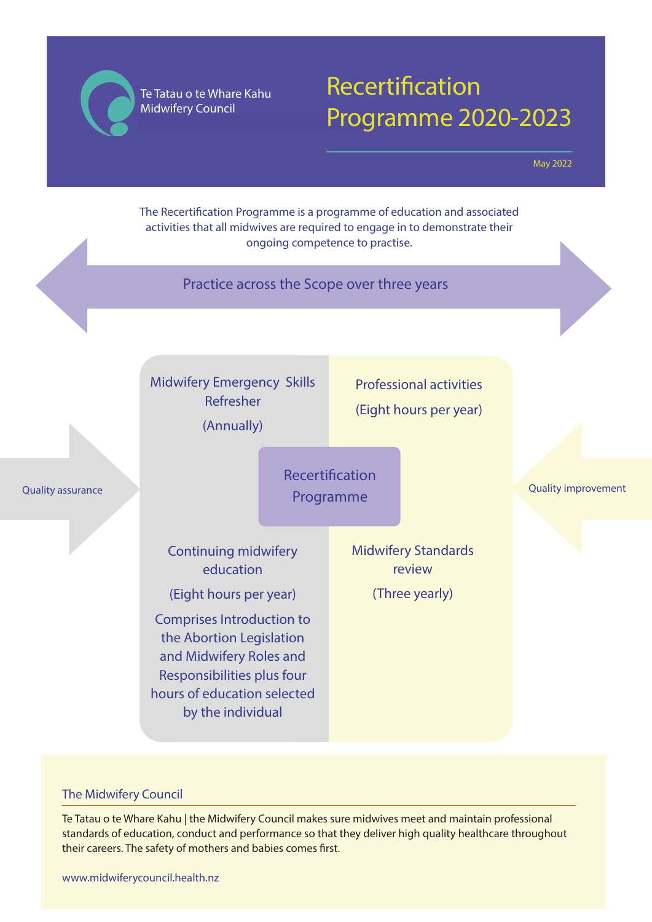**Te Tatau o te Whare Kahu** Te Tatau o te Whare Kahu **Midwifery Council** Midwifery Council

# Recertification Programme 2020-2023

May 2022

Recertification Programme Midwifery Emergency Skills Refresher (Annually) Professional activities (Eight hours per year) Continuing midwifery education (Eight hours per year) Comprises Introduction to the Abortion Legislation and Midwifery Roles and Responsibilities plus four hours of education selected by the individual Midwifery Standards review (Three yearly) Quality assurance **Contract of the Contract of Contract of Contract of Contract of Contract of Contract of Contract of Contract of Contract of Contract of Contract of Contract of Contract of Contract of Contract of Contrac** Practice across the Scope over three years The Recertification Programme is a programme of education and associated activities that all midwives are required to engage in to demonstrate their ongoing competence to practise.

#### The Midwifery Council

Te Tatau o te Whare Kahu | the Midwifery Council makes sure midwives meet and maintain professional standards of education, conduct and performance so that they deliver high quality healthcare throughout their careers. The safety of mothers and babies comes first.

www.midwiferycouncil.health.nz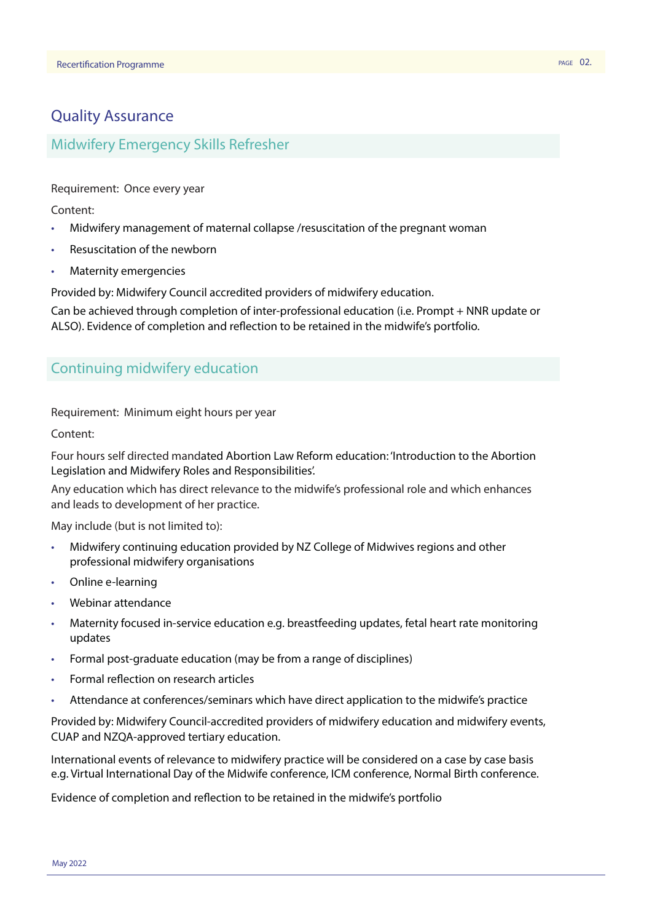# Quality Assurance

### Midwifery Emergency Skills Refresher

Requirement: Once every year

Content:

- Midwifery management of maternal collapse /resuscitation of the pregnant woman
- Resuscitation of the newborn
- Maternity emergencies

Provided by: Midwifery Council accredited providers of midwifery education.

Can be achieved through completion of inter-professional education (i.e. Prompt + NNR update or ALSO). Evidence of completion and reflection to be retained in the midwife's portfolio.

#### Continuing midwifery education

Requirement: Minimum eight hours per year

Content:

Four hours self directed mandated Abortion Law Reform education: 'Introduction to the Abortion Legislation and Midwifery Roles and Responsibilities'.

Any education which has direct relevance to the midwife's professional role and which enhances and leads to development of her practice.

May include (but is not limited to):

- Midwifery continuing education provided by NZ College of Midwives regions and other professional midwifery organisations
- Online e-learning
- Webinar attendance
- Maternity focused in-service education e.g. breastfeeding updates, fetal heart rate monitoring updates
- Formal post-graduate education (may be from a range of disciplines)
- Formal reflection on research articles
- Attendance at conferences/seminars which have direct application to the midwife's practice

Provided by: Midwifery Council-accredited providers of midwifery education and midwifery events, CUAP and NZQA-approved tertiary education.

International events of relevance to midwifery practice will be considered on a case by case basis e.g. Virtual International Day of the Midwife conference, ICM conference, Normal Birth conference.

Evidence of completion and reflection to be retained in the midwife's portfolio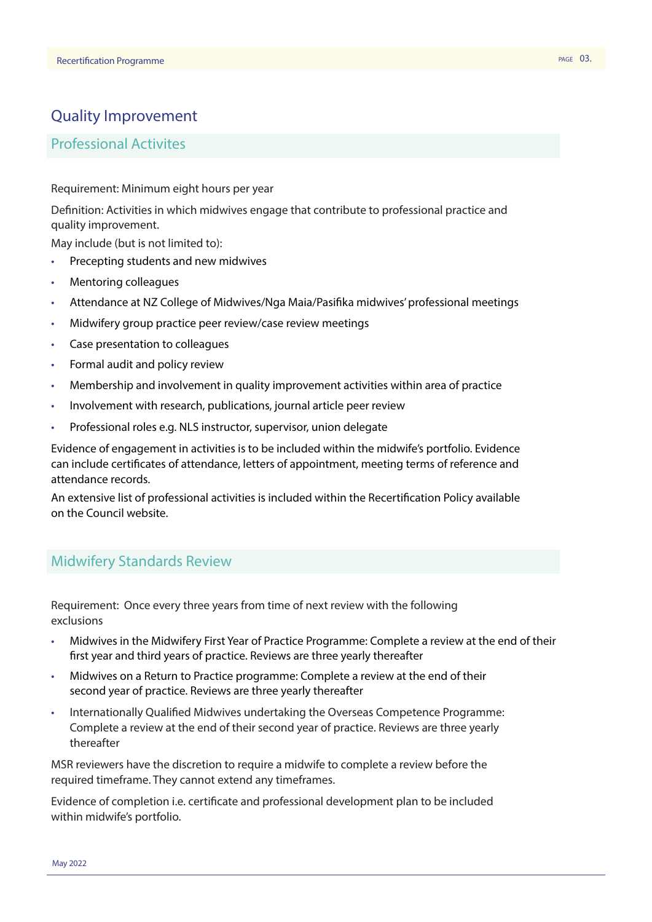#### Quality Improvement

#### Professional Activites

Requirement: Minimum eight hours per year

Definition: Activities in which midwives engage that contribute to professional practice and quality improvement.

May include (but is not limited to):

- Precepting students and new midwives
- Mentoring colleagues
- Attendance at NZ College of Midwives/Nga Maia/Pasifika midwives' professional meetings
- Midwifery group practice peer review/case review meetings
- Case presentation to colleagues
- Formal audit and policy review
- Membership and involvement in quality improvement activities within area of practice
- Involvement with research, publications, journal article peer review
- Professional roles e.g. NLS instructor, supervisor, union delegate

Evidence of engagement in activities is to be included within the midwife's portfolio. Evidence can include certificates of attendance, letters of appointment, meeting terms of reference and attendance records.

An extensive list of professional activities is included within the Recertification Policy available on the Council website.

#### Midwifery Standards Review

Requirement: Once every three years from time of next review with the following exclusions

- Midwives in the Midwifery First Year of Practice Programme: Complete a review at the end of their first year and third years of practice. Reviews are three yearly thereafter
- Midwives on a Return to Practice programme: Complete a review at the end of their second year of practice. Reviews are three yearly thereafter
- Internationally Qualified Midwives undertaking the Overseas Competence Programme: Complete a review at the end of their second year of practice. Reviews are three yearly thereafter

MSR reviewers have the discretion to require a midwife to complete a review before the required timeframe. They cannot extend any timeframes.

Evidence of completion i.e. certificate and professional development plan to be included within midwife's portfolio.